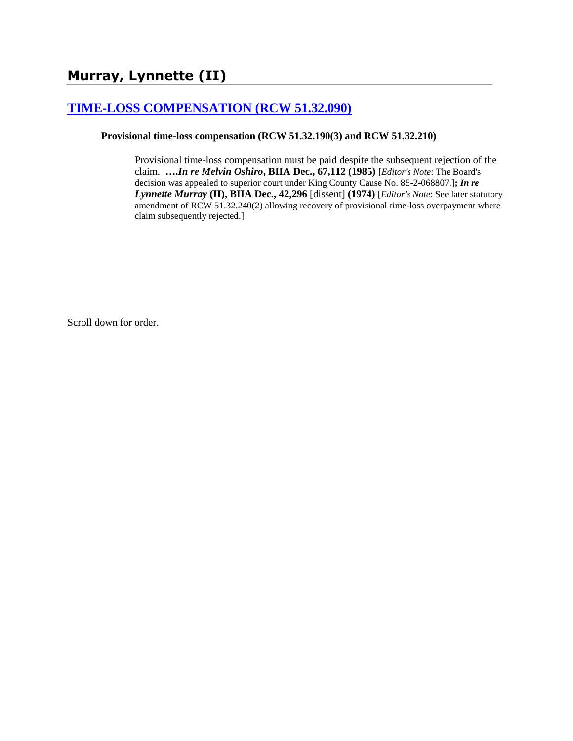# **[TIME-LOSS COMPENSATION \(RCW 51.32.090\)](http://www.biia.wa.gov/SDSubjectIndex.html#TIME_LOSS_COMPENSATION)**

### **Provisional time-loss compensation (RCW 51.32.190(3) and RCW 51.32.210)**

Provisional time-loss compensation must be paid despite the subsequent rejection of the claim. **….***In re Melvin Oshiro***, BIIA Dec., 67,112 (1985)** [*Editor's Note*: The Board's decision was appealed to superior court under King County Cause No. 85-2-068807.]**;** *In re Lynnette Murray* **(II), BIIA Dec., 42,296** [dissent] **(1974)** [*Editor's Note*: See later statutory amendment of RCW 51.32.240(2) allowing recovery of provisional time-loss overpayment where claim subsequently rejected.]

Scroll down for order.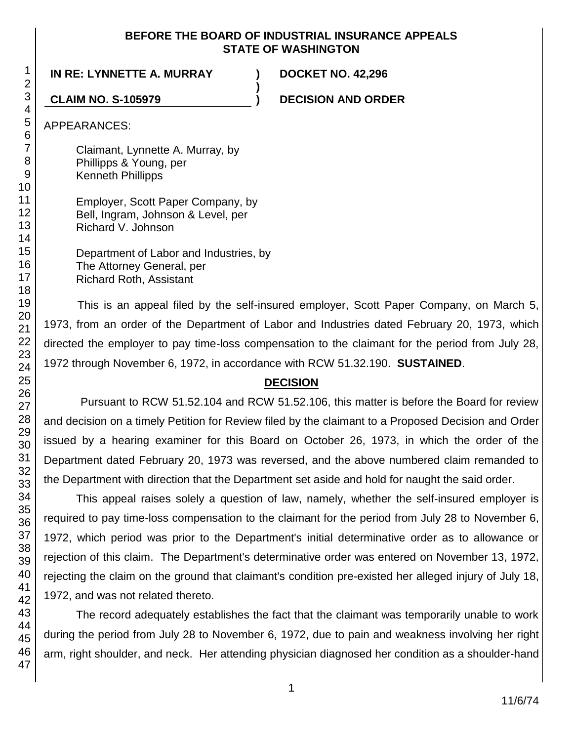### **BEFORE THE BOARD OF INDUSTRIAL INSURANCE APPEALS STATE OF WASHINGTON**

**)**

**IN RE: LYNNETTE A. MURRAY ) DOCKET NO. 42,296**

**CLAIM NO. S-105979 ) DECISION AND ORDER**

APPEARANCES:

Claimant, Lynnette A. Murray, by Phillipps & Young, per Kenneth Phillipps

Employer, Scott Paper Company, by Bell, Ingram, Johnson & Level, per Richard V. Johnson

Department of Labor and Industries, by The Attorney General, per Richard Roth, Assistant

This is an appeal filed by the self-insured employer, Scott Paper Company, on March 5, 1973, from an order of the Department of Labor and Industries dated February 20, 1973, which directed the employer to pay time-loss compensation to the claimant for the period from July 28, 1972 through November 6, 1972, in accordance with RCW 51.32.190. **SUSTAINED**.

## **DECISION**

Pursuant to RCW 51.52.104 and RCW 51.52.106, this matter is before the Board for review and decision on a timely Petition for Review filed by the claimant to a Proposed Decision and Order issued by a hearing examiner for this Board on October 26, 1973, in which the order of the Department dated February 20, 1973 was reversed, and the above numbered claim remanded to the Department with direction that the Department set aside and hold for naught the said order.

This appeal raises solely a question of law, namely, whether the self-insured employer is required to pay time-loss compensation to the claimant for the period from July 28 to November 6, 1972, which period was prior to the Department's initial determinative order as to allowance or rejection of this claim. The Department's determinative order was entered on November 13, 1972, rejecting the claim on the ground that claimant's condition pre-existed her alleged injury of July 18, 1972, and was not related thereto.

The record adequately establishes the fact that the claimant was temporarily unable to work during the period from July 28 to November 6, 1972, due to pain and weakness involving her right arm, right shoulder, and neck. Her attending physician diagnosed her condition as a shoulder-hand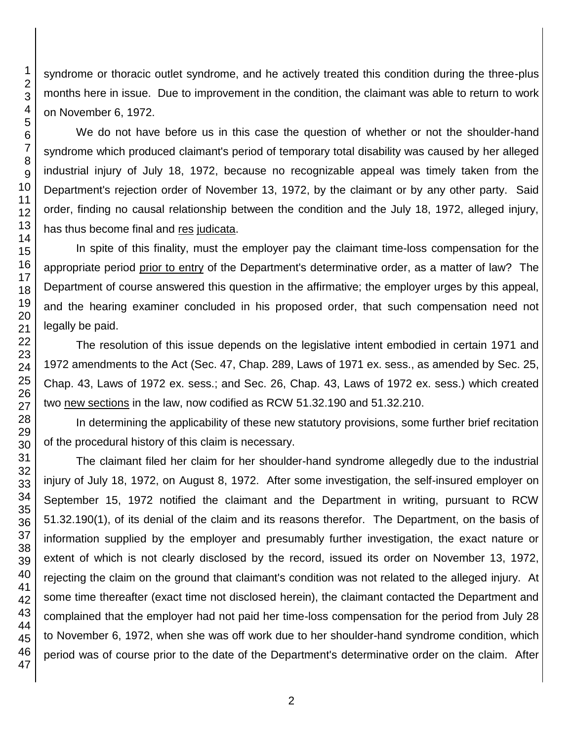syndrome or thoracic outlet syndrome, and he actively treated this condition during the three-plus months here in issue. Due to improvement in the condition, the claimant was able to return to work on November 6, 1972.

We do not have before us in this case the question of whether or not the shoulder-hand syndrome which produced claimant's period of temporary total disability was caused by her alleged industrial injury of July 18, 1972, because no recognizable appeal was timely taken from the Department's rejection order of November 13, 1972, by the claimant or by any other party. Said order, finding no causal relationship between the condition and the July 18, 1972, alleged injury, has thus become final and res judicata.

In spite of this finality, must the employer pay the claimant time-loss compensation for the appropriate period prior to entry of the Department's determinative order, as a matter of law? The Department of course answered this question in the affirmative; the employer urges by this appeal, and the hearing examiner concluded in his proposed order, that such compensation need not legally be paid.

The resolution of this issue depends on the legislative intent embodied in certain 1971 and 1972 amendments to the Act (Sec. 47, Chap. 289, Laws of 1971 ex. sess., as amended by Sec. 25, Chap. 43, Laws of 1972 ex. sess.; and Sec. 26, Chap. 43, Laws of 1972 ex. sess.) which created two new sections in the law, now codified as RCW 51.32.190 and 51.32.210.

In determining the applicability of these new statutory provisions, some further brief recitation of the procedural history of this claim is necessary.

The claimant filed her claim for her shoulder-hand syndrome allegedly due to the industrial injury of July 18, 1972, on August 8, 1972. After some investigation, the self-insured employer on September 15, 1972 notified the claimant and the Department in writing, pursuant to RCW 51.32.190(1), of its denial of the claim and its reasons therefor. The Department, on the basis of information supplied by the employer and presumably further investigation, the exact nature or extent of which is not clearly disclosed by the record, issued its order on November 13, 1972, rejecting the claim on the ground that claimant's condition was not related to the alleged injury. At some time thereafter (exact time not disclosed herein), the claimant contacted the Department and complained that the employer had not paid her time-loss compensation for the period from July 28 to November 6, 1972, when she was off work due to her shoulder-hand syndrome condition, which period was of course prior to the date of the Department's determinative order on the claim. After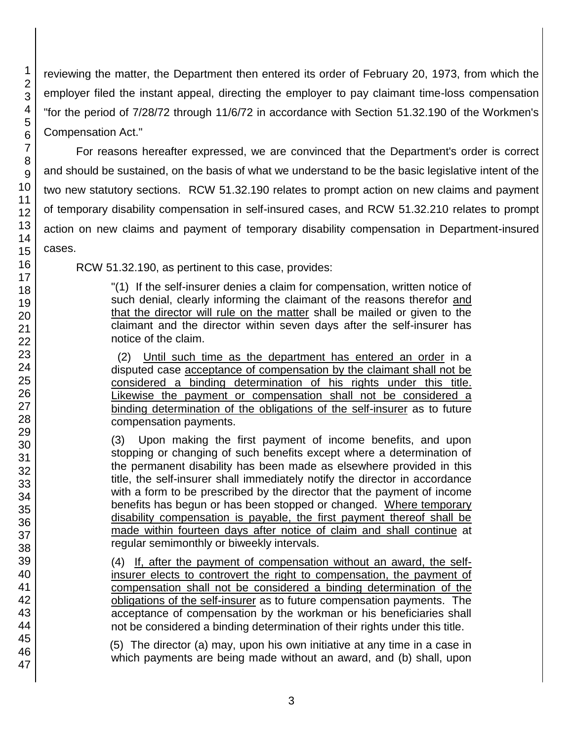reviewing the matter, the Department then entered its order of February 20, 1973, from which the employer filed the instant appeal, directing the employer to pay claimant time-loss compensation "for the period of 7/28/72 through 11/6/72 in accordance with Section 51.32.190 of the Workmen's Compensation Act."

For reasons hereafter expressed, we are convinced that the Department's order is correct and should be sustained, on the basis of what we understand to be the basic legislative intent of the two new statutory sections. RCW 51.32.190 relates to prompt action on new claims and payment of temporary disability compensation in self-insured cases, and RCW 51.32.210 relates to prompt action on new claims and payment of temporary disability compensation in Department-insured cases.

RCW 51.32.190, as pertinent to this case, provides:

"(1) If the self-insurer denies a claim for compensation, written notice of such denial, clearly informing the claimant of the reasons therefor and that the director will rule on the matter shall be mailed or given to the claimant and the director within seven days after the self-insurer has notice of the claim.

 (2) Until such time as the department has entered an order in a disputed case acceptance of compensation by the claimant shall not be considered a binding determination of his rights under this title. Likewise the payment or compensation shall not be considered a binding determination of the obligations of the self-insurer as to future compensation payments.

(3) Upon making the first payment of income benefits, and upon stopping or changing of such benefits except where a determination of the permanent disability has been made as elsewhere provided in this title, the self-insurer shall immediately notify the director in accordance with a form to be prescribed by the director that the payment of income benefits has begun or has been stopped or changed. Where temporary disability compensation is payable, the first payment thereof shall be made within fourteen days after notice of claim and shall continue at regular semimonthly or biweekly intervals.

(4) If, after the payment of compensation without an award, the selfinsurer elects to controvert the right to compensation, the payment of compensation shall not be considered a binding determination of the obligations of the self-insurer as to future compensation payments. The acceptance of compensation by the workman or his beneficiaries shall not be considered a binding determination of their rights under this title.

(5) The director (a) may, upon his own initiative at any time in a case in which payments are being made without an award, and (b) shall, upon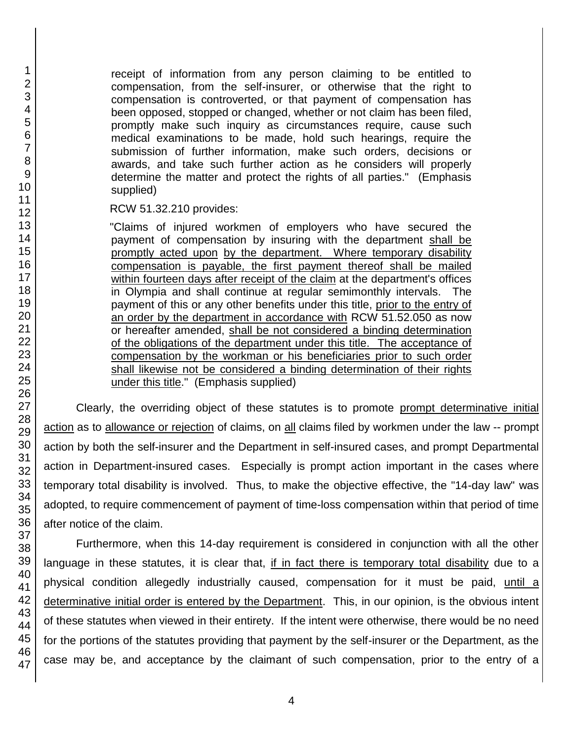receipt of information from any person claiming to be entitled to compensation, from the self-insurer, or otherwise that the right to compensation is controverted, or that payment of compensation has been opposed, stopped or changed, whether or not claim has been filed, promptly make such inquiry as circumstances require, cause such medical examinations to be made, hold such hearings, require the submission of further information, make such orders, decisions or awards, and take such further action as he considers will properly determine the matter and protect the rights of all parties." (Emphasis supplied)

RCW 51.32.210 provides:

"Claims of injured workmen of employers who have secured the payment of compensation by insuring with the department shall be promptly acted upon by the department. Where temporary disability compensation is payable, the first payment thereof shall be mailed within fourteen days after receipt of the claim at the department's offices in Olympia and shall continue at regular semimonthly intervals. The payment of this or any other benefits under this title, prior to the entry of an order by the department in accordance with RCW 51.52.050 as now or hereafter amended, shall be not considered a binding determination of the obligations of the department under this title. The acceptance of compensation by the workman or his beneficiaries prior to such order shall likewise not be considered a binding determination of their rights under this title." (Emphasis supplied)

Clearly, the overriding object of these statutes is to promote prompt determinative initial action as to allowance or rejection of claims, on all claims filed by workmen under the law -- prompt action by both the self-insurer and the Department in self-insured cases, and prompt Departmental action in Department-insured cases. Especially is prompt action important in the cases where temporary total disability is involved. Thus, to make the objective effective, the "14-day law" was adopted, to require commencement of payment of time-loss compensation within that period of time after notice of the claim.

Furthermore, when this 14-day requirement is considered in conjunction with all the other language in these statutes, it is clear that, if in fact there is temporary total disability due to a physical condition allegedly industrially caused, compensation for it must be paid, until a determinative initial order is entered by the Department. This, in our opinion, is the obvious intent of these statutes when viewed in their entirety. If the intent were otherwise, there would be no need for the portions of the statutes providing that payment by the self-insurer or the Department, as the case may be, and acceptance by the claimant of such compensation, prior to the entry of a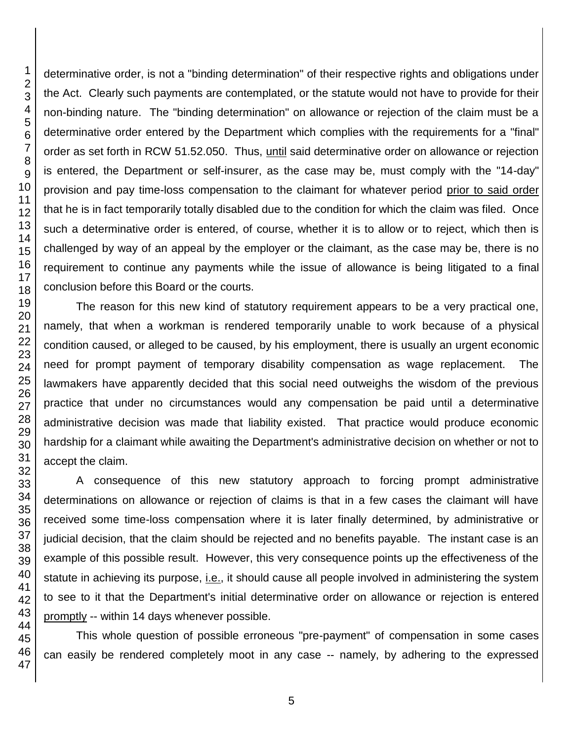determinative order, is not a "binding determination" of their respective rights and obligations under the Act. Clearly such payments are contemplated, or the statute would not have to provide for their non-binding nature. The "binding determination" on allowance or rejection of the claim must be a determinative order entered by the Department which complies with the requirements for a "final" order as set forth in RCW 51.52.050. Thus, until said determinative order on allowance or rejection is entered, the Department or self-insurer, as the case may be, must comply with the "14-day" provision and pay time-loss compensation to the claimant for whatever period prior to said order that he is in fact temporarily totally disabled due to the condition for which the claim was filed. Once such a determinative order is entered, of course, whether it is to allow or to reject, which then is challenged by way of an appeal by the employer or the claimant, as the case may be, there is no requirement to continue any payments while the issue of allowance is being litigated to a final conclusion before this Board or the courts.

The reason for this new kind of statutory requirement appears to be a very practical one, namely, that when a workman is rendered temporarily unable to work because of a physical condition caused, or alleged to be caused, by his employment, there is usually an urgent economic need for prompt payment of temporary disability compensation as wage replacement. The lawmakers have apparently decided that this social need outweighs the wisdom of the previous practice that under no circumstances would any compensation be paid until a determinative administrative decision was made that liability existed. That practice would produce economic hardship for a claimant while awaiting the Department's administrative decision on whether or not to accept the claim.

A consequence of this new statutory approach to forcing prompt administrative determinations on allowance or rejection of claims is that in a few cases the claimant will have received some time-loss compensation where it is later finally determined, by administrative or judicial decision, that the claim should be rejected and no benefits payable. The instant case is an example of this possible result. However, this very consequence points up the effectiveness of the statute in achieving its purpose, i.e., it should cause all people involved in administering the system to see to it that the Department's initial determinative order on allowance or rejection is entered promptly -- within 14 days whenever possible.

This whole question of possible erroneous "pre-payment" of compensation in some cases can easily be rendered completely moot in any case -- namely, by adhering to the expressed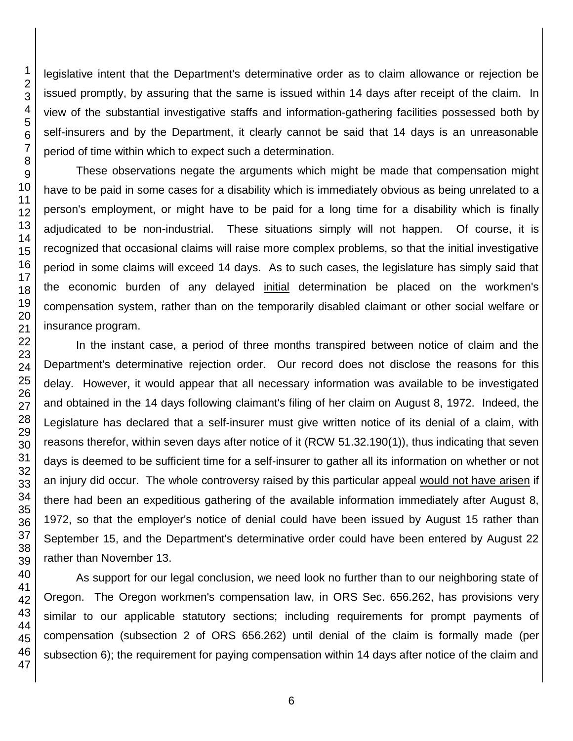legislative intent that the Department's determinative order as to claim allowance or rejection be issued promptly, by assuring that the same is issued within 14 days after receipt of the claim. In view of the substantial investigative staffs and information-gathering facilities possessed both by self-insurers and by the Department, it clearly cannot be said that 14 days is an unreasonable period of time within which to expect such a determination.

These observations negate the arguments which might be made that compensation might have to be paid in some cases for a disability which is immediately obvious as being unrelated to a person's employment, or might have to be paid for a long time for a disability which is finally adjudicated to be non-industrial. These situations simply will not happen. Of course, it is recognized that occasional claims will raise more complex problems, so that the initial investigative period in some claims will exceed 14 days. As to such cases, the legislature has simply said that the economic burden of any delayed initial determination be placed on the workmen's compensation system, rather than on the temporarily disabled claimant or other social welfare or insurance program.

In the instant case, a period of three months transpired between notice of claim and the Department's determinative rejection order. Our record does not disclose the reasons for this delay. However, it would appear that all necessary information was available to be investigated and obtained in the 14 days following claimant's filing of her claim on August 8, 1972. Indeed, the Legislature has declared that a self-insurer must give written notice of its denial of a claim, with reasons therefor, within seven days after notice of it (RCW 51.32.190(1)), thus indicating that seven days is deemed to be sufficient time for a self-insurer to gather all its information on whether or not an injury did occur. The whole controversy raised by this particular appeal would not have arisen if there had been an expeditious gathering of the available information immediately after August 8, 1972, so that the employer's notice of denial could have been issued by August 15 rather than September 15, and the Department's determinative order could have been entered by August 22 rather than November 13.

As support for our legal conclusion, we need look no further than to our neighboring state of Oregon. The Oregon workmen's compensation law, in ORS Sec. 656.262, has provisions very similar to our applicable statutory sections; including requirements for prompt payments of compensation (subsection 2 of ORS 656.262) until denial of the claim is formally made (per subsection 6); the requirement for paying compensation within 14 days after notice of the claim and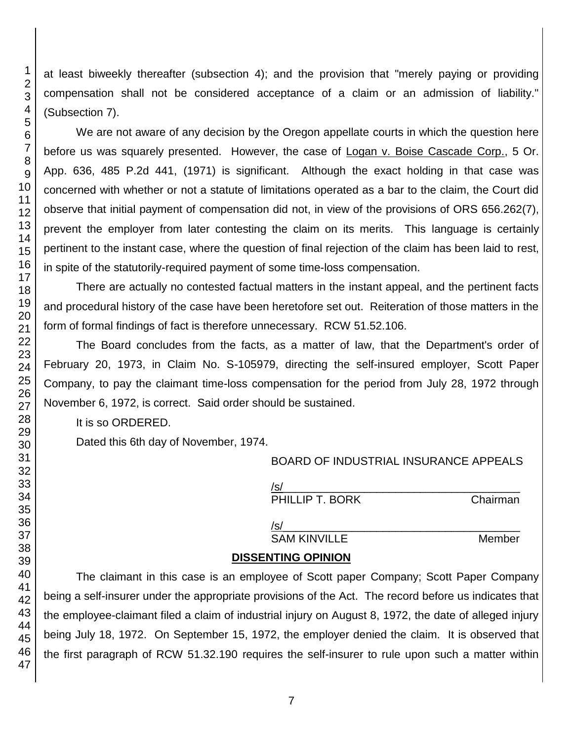at least biweekly thereafter (subsection 4); and the provision that "merely paying or providing compensation shall not be considered acceptance of a claim or an admission of liability." (Subsection 7).

We are not aware of any decision by the Oregon appellate courts in which the question here before us was squarely presented. However, the case of Logan v. Boise Cascade Corp., 5 Or. App. 636, 485 P.2d 441, (1971) is significant. Although the exact holding in that case was concerned with whether or not a statute of limitations operated as a bar to the claim, the Court did observe that initial payment of compensation did not, in view of the provisions of ORS 656.262(7), prevent the employer from later contesting the claim on its merits. This language is certainly pertinent to the instant case, where the question of final rejection of the claim has been laid to rest, in spite of the statutorily-required payment of some time-loss compensation.

There are actually no contested factual matters in the instant appeal, and the pertinent facts and procedural history of the case have been heretofore set out. Reiteration of those matters in the form of formal findings of fact is therefore unnecessary. RCW 51.52.106.

The Board concludes from the facts, as a matter of law, that the Department's order of February 20, 1973, in Claim No. S-105979, directing the self-insured employer, Scott Paper Company, to pay the claimant time-loss compensation for the period from July 28, 1972 through November 6, 1972, is correct. Said order should be sustained.

It is so ORDERED.

Dated this 6th day of November, 1974.

## BOARD OF INDUSTRIAL INSURANCE APPEALS

/s/\_\_\_\_\_\_\_\_\_\_\_\_\_\_\_\_\_\_\_\_\_\_\_\_\_\_\_\_\_\_\_\_\_\_\_\_\_\_ PHILLIP T. BORK Chairman

/s/ SAM KINVILLE Member

# **DISSENTING OPINION**

The claimant in this case is an employee of Scott paper Company; Scott Paper Company being a self-insurer under the appropriate provisions of the Act. The record before us indicates that the employee-claimant filed a claim of industrial injury on August 8, 1972, the date of alleged injury being July 18, 1972. On September 15, 1972, the employer denied the claim. It is observed that the first paragraph of RCW 51.32.190 requires the self-insurer to rule upon such a matter within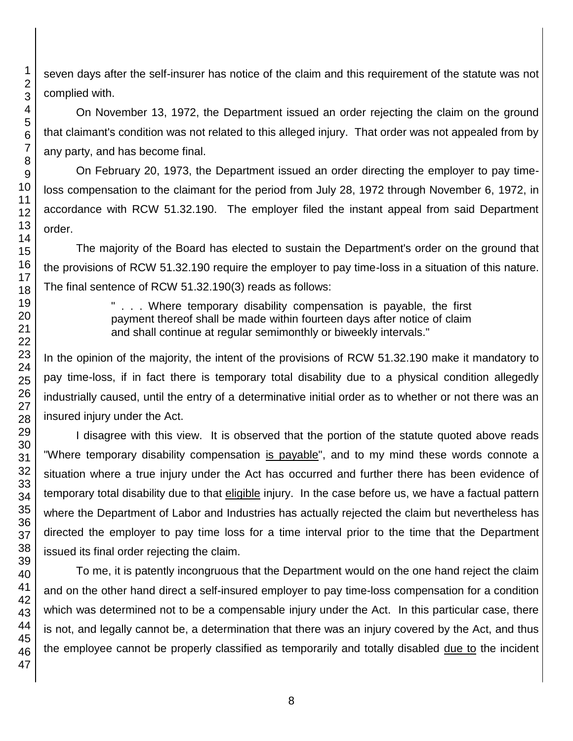seven days after the self-insurer has notice of the claim and this requirement of the statute was not complied with.

On November 13, 1972, the Department issued an order rejecting the claim on the ground that claimant's condition was not related to this alleged injury. That order was not appealed from by any party, and has become final.

On February 20, 1973, the Department issued an order directing the employer to pay timeloss compensation to the claimant for the period from July 28, 1972 through November 6, 1972, in accordance with RCW 51.32.190. The employer filed the instant appeal from said Department

The majority of the Board has elected to sustain the Department's order on the ground that the provisions of RCW 51.32.190 require the employer to pay time-loss in a situation of this nature. The final sentence of RCW 51.32.190(3) reads as follows:

> " . . . Where temporary disability compensation is payable, the first payment thereof shall be made within fourteen days after notice of claim and shall continue at regular semimonthly or biweekly intervals."

In the opinion of the majority, the intent of the provisions of RCW 51.32.190 make it mandatory to pay time-loss, if in fact there is temporary total disability due to a physical condition allegedly industrially caused, until the entry of a determinative initial order as to whether or not there was an insured injury under the Act.

I disagree with this view. It is observed that the portion of the statute quoted above reads "Where temporary disability compensation is payable", and to my mind these words connote a situation where a true injury under the Act has occurred and further there has been evidence of temporary total disability due to that eligible injury. In the case before us, we have a factual pattern where the Department of Labor and Industries has actually rejected the claim but nevertheless has directed the employer to pay time loss for a time interval prior to the time that the Department issued its final order rejecting the claim.

To me, it is patently incongruous that the Department would on the one hand reject the claim and on the other hand direct a self-insured employer to pay time-loss compensation for a condition which was determined not to be a compensable injury under the Act. In this particular case, there is not, and legally cannot be, a determination that there was an injury covered by the Act, and thus the employee cannot be properly classified as temporarily and totally disabled due to the incident